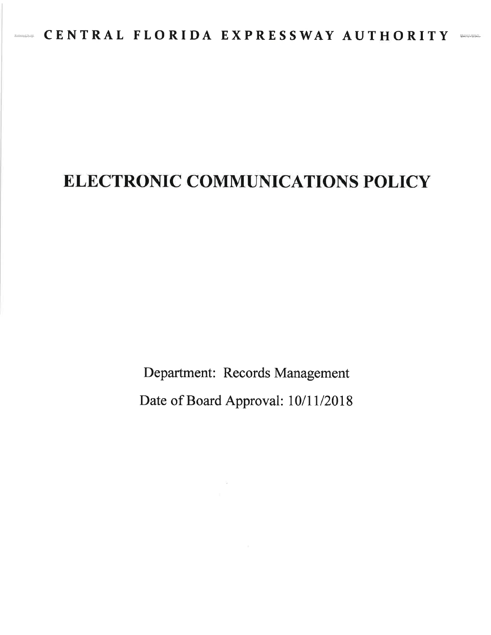# ELECTRONIC COMMUNICATIONS POLICY

Department: Records Management Date of Board Approval: 10/11/2018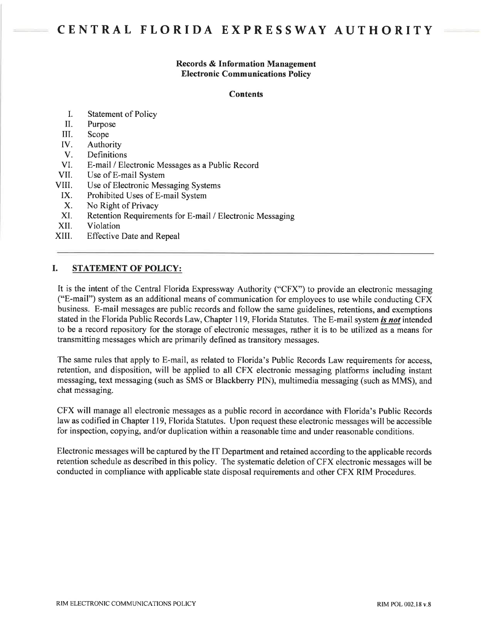#### Records & Information Management Electronic Communications Policy

#### **Contents**

- I. Statement of Policy
- II. Purpose
- III. Scope
- IV. Authority
- V. Definitions
- VI. E-mail / Electronic Messages as a Public Record
- VII. Use of E-mail System
- VIII. Use of Electronic Messaging Systems
- IX. Prohibited Uses of E-mail System
- X. No Right of Privacy
- XI. Retention Requirements for E-mail / Electronic Messaging
- XII. Violation
- XIII. Effective Date and Repeal

# I. STATEMENT OF POLICY:

It is the intent of the Central Florida Expressway Authority ("CFX") to provide an electronic messaging ("E-mail") system as an additional means of communication for employees to use while conducting CFX business. E-mail messages are public records and follow the same guidelines, retentions, and exemptions stated in the Florida Public Records Law, Chapter 119, Florida Statutes. The E-mail system is not intended to be a record repository for the storage of electronic messages, rather it is to be utilized as a means for transmitting messages which are primarily defined as transitory messages.

The same rules that apply to E-mail, as related to Florida's Public Records Law requirements for access, retention, and disposition, will be applied to all CFX electronic messaging platforms including instant messaging, text messaging (such as SMS or Blackberry PIN), multimedia messaging (such as MMS), and chat messaging.

CFX will manage all electronic messages as a public record in accordance with Florida's Public Records law as codified in Chapter 119, Florida Statutes. Upon request these electronic messages will be accessible for inspection, copying, and/or duplication within a reasonable time and under reasonable conditions.

Electronic messages will be captured by the IT Department and retained according to the applicable records retention schedule as described in this policy. The systematic deletion of CFX electronic messages will be conducted in compliance with applicable state disposal requirements and other CFX RIM Procedures.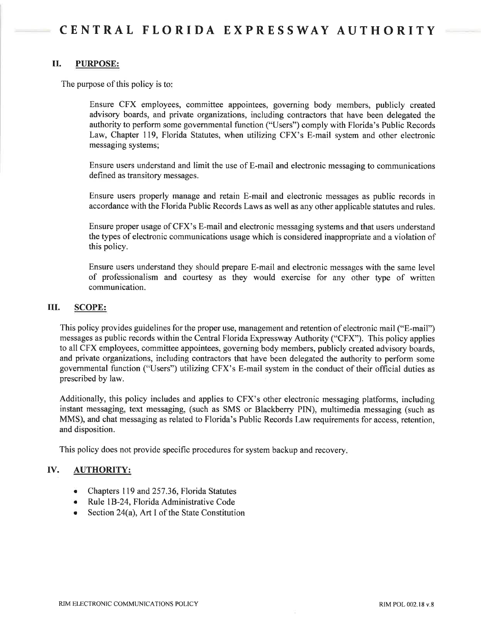#### il. PURPOSE:

The purpose of this policy is to

Ensure CFX employees, committee appointees, governing body members, publicly created advisory boards, and private organizations, including contractors that have been delegated the authority to perform some governmental function ("Users") comply with Florida's Public Records Law, Chapter 119, Florida Statutes, when utilizing CFX's E-mail system and other electronic messaging systems;

Ensure users understand and limit the use of E-mail and electronic messaging to communications defined as transitory messages.

Ensure users properly manage and retain E-mail and electronic messages as public records in accordance with the Florida Public Records Laws as well as any other applicable statutes and rules.

Ensure proper usage of CFX's E-mail and electronic messaging systems and that users understand the types of electronic communications usage which is considered inappropriate and a violation of this policy.

Ensure users understand they should prepare E-mail and electronic messages with the same level of professionalism and courtesy as they would exercise for any other type of written communication.

#### ilI. SCOPE:

This policy provides guidelines for the proper use, management and retention of electronic mail ("E-mail") messages as public records within the Central Florida Expressway Authority ("CFX"). This policy applies to all CFX employees, committee appointees, governing body members, publicly created advisory boards, and private organizations, including contractors that have been delegated the authority to perform some governmental function ("Users") utilizing CFX's E-mail system in the conduct of their official duties as prescribed by law.

Additionally, this policy includes and applies to CFX's other electronic messaging platforms, including instant messaging, text messaging, (such as SMS or Blackberry PIN), multimedia messaging (such as MMS), and chat messaging as related to Florida's Public Records Law requirements for access, retention, and disposition.

This policy does not provide specific procedures for system backup and recovery.

# IV. AUTHORITY:

- o Chapters 119 and 257.36, Florida Statutes
- o Rule lB-24, Florida Administrative Code
- Section 24(a), Art I of the State Constitution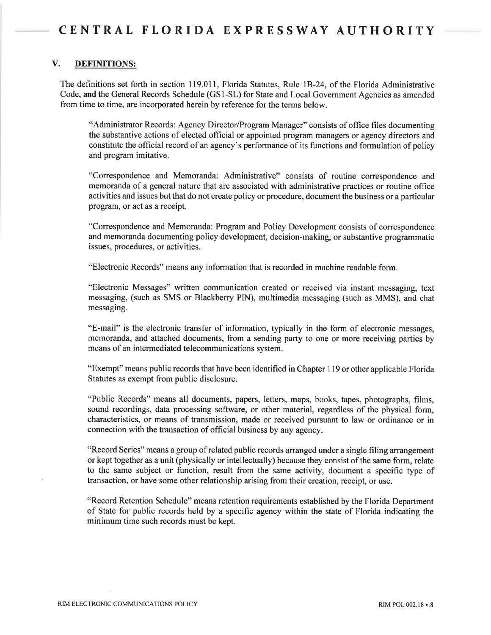# V. DEFINITIONS:

The definitions set forth in section 119.011, Florida Statutes, Rule lB-24, of the Florida Administrative Code, and the General Records Schedule (GS I -SL) for State and Local Government Agencies as amended from time to time, are incorporated herein by reference for the terms below.

"Administrator Records: Agency Director/Program Manager" consists of office files documenting the substantive actions of elected official or appointed program managers or agency directors and constitute the official record of an agency's performance of its functions and formulation of policy and program imitative.

"Correspondence and Memoranda: Administrative" consists of routine correspondence and memoranda of a general nature that are associated with administrative practices or routine office activities and issues but that do not create policy or procedure, document the business or a particular program, or act as a receipt.

"Correspondence and Memoranda: Program and Policy Development consists of correspondence and memoranda documenting policy development, decision-making, or substantive programmatic issues, procedures, or activities.

"Electronic Records" means any information that is recorded in machine readable form.

"Electronic Messages" written communication created or received via instant messaging, text messaging, (such as SMS or Blackberry PN), multimedia messaging (such as MMS), and chat messaging.

"E-mail" is the electronic transfer of information, typically in the form of electronic messages, memoranda, and attached documents, from a sending party to one or more receiving parties by means of an intermediated telecommunications system.

"Exempt" means public records that have been identified in Chapter 1 19 or other applicable Florida Statutes as exempt from public disclosure.

"Public Records" means all documents, papers, letters, maps, books, tapes, photographs, films, sound recordings, data processing software, or other material, regardless of the physical form, characteristics, or means of transmission, made or received pursuant to law or ordinance or in connection with the transaction of official business by any agency.

"Record Series" means a group of related public records arranged under a single filing arrangement or kept together as a unit (physically or intellectually) because they consist of the same form, relate to the same subject or function, result from the same activity, document a specific type of transaction, or have some other relationship arising from their creation, receipt, or use.

"Record Retention Schedule" means retention requirements established by the Florida Department of State for public records held by a specific agency within the state of Florida indicating the minimum time such records must be kept.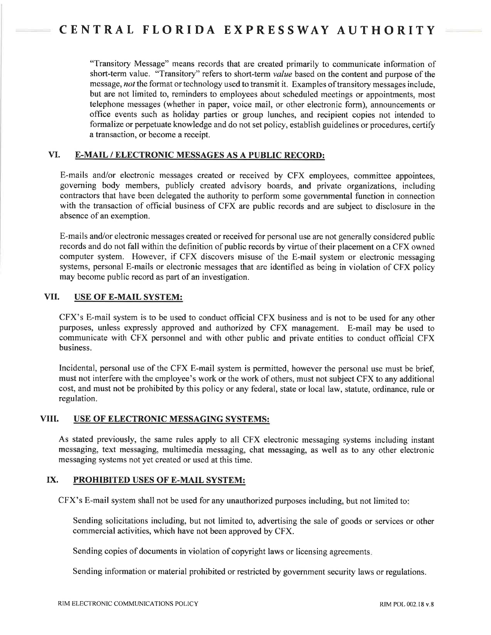"Transitory Message" means records that are created primarily to communicate information of short-term value. "Transitory" refers to short-term value based on the content and purpose of the message, not the format or technology used to transmit it. Examples of transitory messages include, but are not limited to, reminders to employees about scheduled meetings or appointments, most telephone messages (whether in paper, voice mail, or other electronic form), announcements or office events such as holiday parties or group lunches, and recipient copies not intended to formalize or perpetuate knowledge and do not set policy, establish guidelines or procedures, certifu a transaction, or become a receipt.

# VI. E-MAIL / ELECTRONIC MESSAGES AS A PUBLIC RECORD:

E-mails and/or electronic messages created or received by CFX employees, committee appointees, governing body members, publicly created advisory boards, and private organizations, including contractors that have been delegated the authority to perform some governmental function in connection with the transaction of official business of CFX are public records and are subject to disclosure in the absence of an exemption.

E-mails and/or electronic messages created or received for personal use are not generally considered public records and do not fall within the definition of public records by virtue of their placement on a CFX owned computer system. However, if CFX discovers misuse of the E-mail system or electronic messaging systems, personal E-mails or electronic messages that are identified as being in violation of CFX policy may become public record as part of an investigation.

#### VII. USE OF E-MAIL SYSTEM:

CFX's E-mail system is to be used to conduct official CFX business and is not to be used for any other purposes, unless expressly approved and authorized by CFX management. E-mail may be used to communicate with CFX personnel and with other public and private entities to conduct official CFX business.

Incidental, personal use of the CFX E-mail system is permitted, however the personal use must be brief, must not interfere with the employee's work or the work of others, must not subject CFX to any additional cost, and must not be prohibited by this policy or any federal, state or local law, statute, ordinance, rule or regulation.

# VIII. USE OF ELECTRONIC MESSAGING SYSTEMS:

As stated previously, the same rules apply to all CFX electronic messaging systems including instant messaging, text messaging, multimedia messaging, chat messaging, as well as to any other electronic messaging systems not yet created or used at this time.

# IX. PROHIBITED USES OF E-MAIL SYSTEM:

CFX's E-mail system shall not be used for any unauthorized purposes including, but not limited to

Sending solicitations including, but not limited to, advertising the sale of goods or services or other commercial activities, which have not been approved by CFX.

Sending copies of documents in violation of copyright laws or licensing agreements.

Sending information or material prohibited or restricted by govemment security laws or regulations.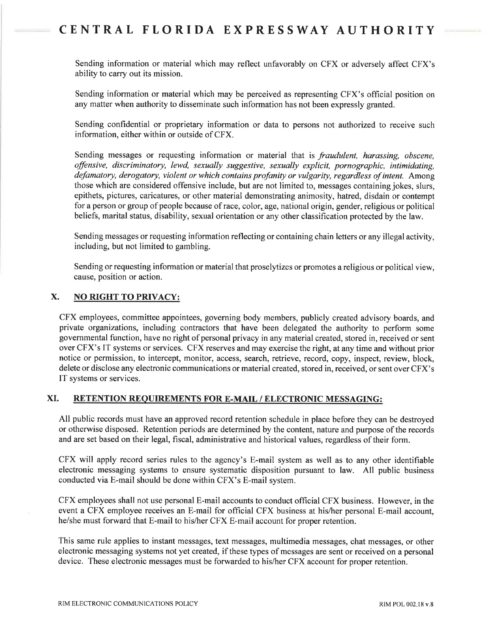Sending information or material which may reflect unfavorably on CFX or adversely affect CFX's ability to carry out its mission.

Sending information or material which may be perceived as representing CFX's official position on any matter when authority to disseminate such information has not been expressly granted.

Sending confidential or proprietary information or data to persons not authorized to receive such information, either within or outside of CFX.

Sending messages or requesting information or material that is *fraudulent*, *harassing*, *obscene*, offensive, discriminatory, lewd, sexually suggestive, sexually explicit, pornographic, intimidating, defamatory, derogatory, violent or which contains profanity or vulgarity, regardless of intent. Among those which are considered offensive include, but are not limited to, messages containing jokes, slurs, epithets, pictures, caricatures, or other material demonstrating animosity, hatred, disdain or contempt for a person or group of people because of race, color, age, national origin, gender, religious or political beliefs, marital status, disability, sexual orientation or any other classification protected by the law.

Sending messages or requesting information reflecting or containing chain letters or any illegal activity, including, but not limited to gambling.

Sending or requesting information or material that proselytizes or promotes a religious or political view, cause, position or action.

# X. NO RIGHT TO PRIVACY:

CFX employees, committee appointees, governing body members, publicly created advisory boards, and private organizations, including contractors that have been delegated the authority to perform some governmental function, have no right of personal privacy in any material created, stored in, received or sent over CFX's IT systems or services. CFX reserves and may exercise the right, at any time and without prior notice or permission, to intercept, monitor, access, search, retrieve, record, copy, inspect, review, block, delete or disclose any electronic communications or material created, stored in, received, or sent over CFX's IT systems or services.

# XI. RETENTION REOUIREMENTS FOR E-MAIL / ELECTRONIC MESSAGING:

All public records must have an approved record retention schedule in place before they can be destroyed or otherwise disposed. Retention periods are determined by the content, nature and purpose of the records and are set based on their legal, fiscal, administrative and historical values, regardless of their form.

CFX will apply record series rules to the agency's E-mail system as well as to any other identifiable electronic messaging systems to ensure systematic disposition pursuant to law. All public business conducted via E-mail should be done within CFX's E-mail system.

CFX employees shall not use personal E-mail accounts to conduct official CFX business. However, in the event a CFX employee receives an E-mail for official CFX business at hislher personal E-mail account, he/she must forward that E-mail to his/her CFX E-mail account for proper retention.

This same rule applies to instant messages, text messages, multimedia messages, chat messages, or other electronic messaging systems not yet created, if these types of messages are sent or received on a personal device. These electronic messages must be forwarded to his/her CFX account for proper retention.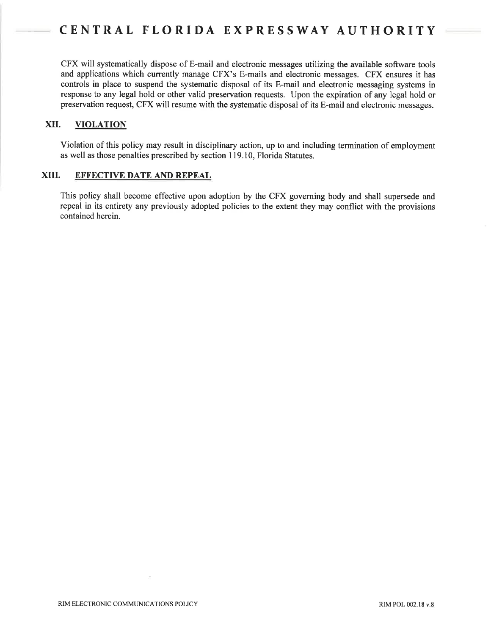CFX will systematically dispose of E-mail and electronic messages utilizing the available software tools and applications which currently manage CFX's E-mails and electronic messages. CFX ensures it has controls in place to suspend the systematic disposal of its E-mail and electronic messaging systems in response to any legal hold or other valid preservation requests. Upon the expiration of any legal hold or preservation request, CFX will resume with the systematic disposal of its E-mail and electronic messages.

# XII. VIOLATION

Violation of this policy may result in disciplinary action, up to and including termination of employment as well as those penalties prescribed by section I19.10, Florida Statutes.

#### XIII. EFFECTIVE DATE AND REPEAL

This policy shall become effective upon adoption by the CFX governing body and shall supersede and repeal in its entirefy any previously adopted policies to the extent they may conflict with the provisions contained herein.